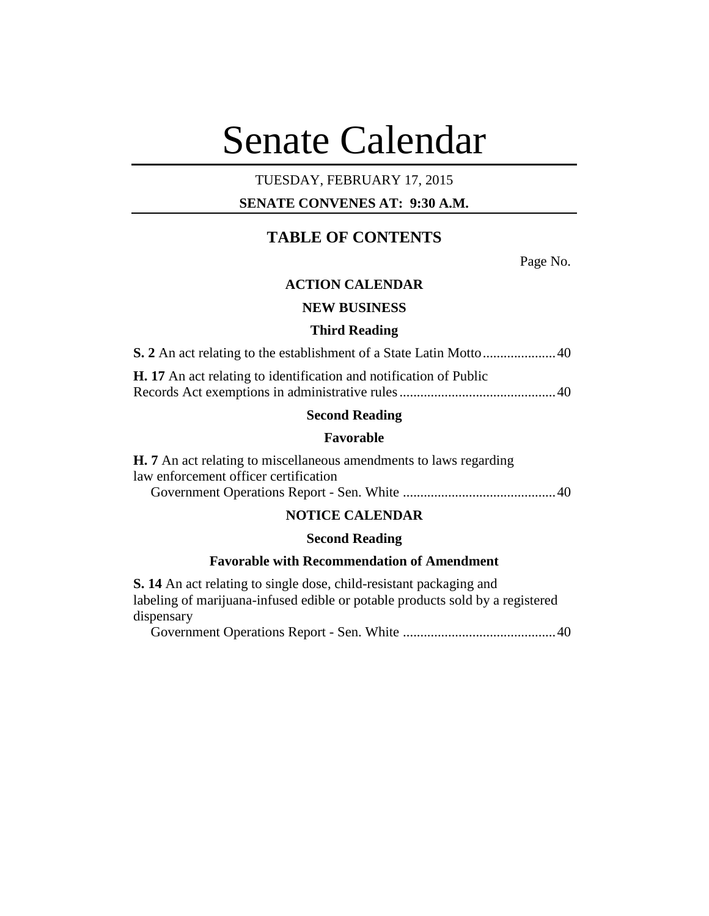# Senate Calendar

# TUESDAY, FEBRUARY 17, 2015

# **SENATE CONVENES AT: 9:30 A.M.**

# **TABLE OF CONTENTS**

Page No.

# **ACTION CALENDAR**

# **NEW BUSINESS**

#### **Third Reading**

| <b>H.</b> 17 An act relating to identification and notification of Public |  |
|---------------------------------------------------------------------------|--|
|                                                                           |  |

#### **Second Reading**

#### **Favorable**

| <b>H.</b> 7 An act relating to miscellaneous amendments to laws regarding |  |
|---------------------------------------------------------------------------|--|
| law enforcement officer certification                                     |  |
|                                                                           |  |

# **NOTICE CALENDAR**

#### **Second Reading**

# **Favorable with Recommendation of Amendment**

**S. 14** An act relating to single dose, child-resistant packaging and labeling of marijuana-infused edible or potable products sold by a registered dispensary

Government Operations Report - Sen. White ............................................40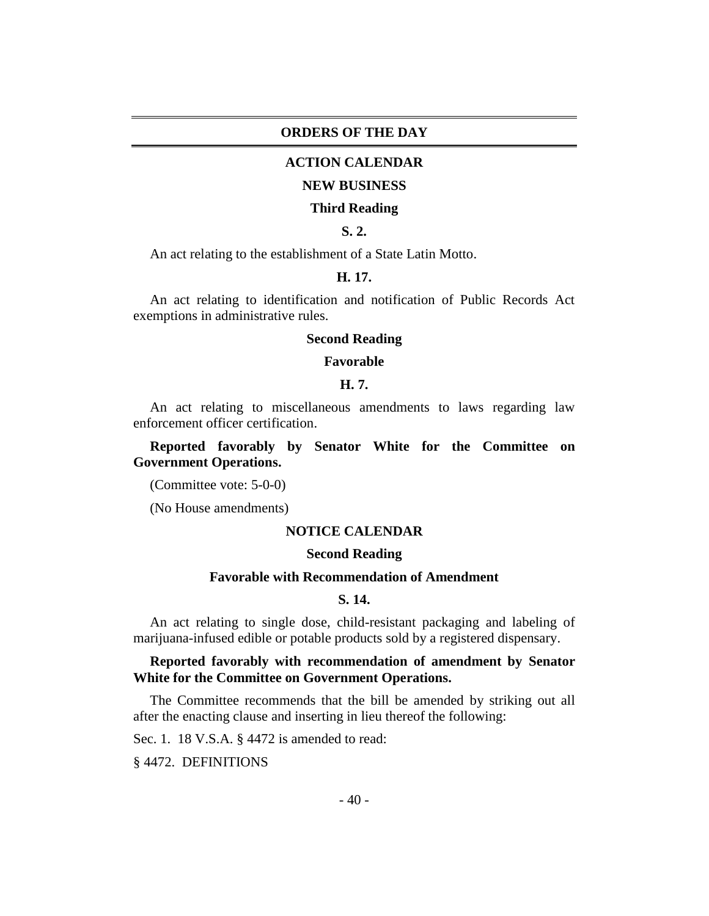#### **ORDERS OF THE DAY**

#### **ACTION CALENDAR**

#### **NEW BUSINESS**

#### **Third Reading**

# **S. 2.**

An act relating to the establishment of a State Latin Motto.

#### **H. 17.**

An act relating to identification and notification of Public Records Act exemptions in administrative rules.

#### **Second Reading**

#### **Favorable**

## **H. 7.**

An act relating to miscellaneous amendments to laws regarding law enforcement officer certification.

# **Reported favorably by Senator White for the Committee on Government Operations.**

(Committee vote: 5-0-0)

(No House amendments)

#### **NOTICE CALENDAR**

#### **Second Reading**

#### **Favorable with Recommendation of Amendment**

#### **S. 14.**

An act relating to single dose, child-resistant packaging and labeling of marijuana-infused edible or potable products sold by a registered dispensary.

# **Reported favorably with recommendation of amendment by Senator White for the Committee on Government Operations.**

The Committee recommends that the bill be amended by striking out all after the enacting clause and inserting in lieu thereof the following:

Sec. 1. 18 V.S.A. § 4472 is amended to read:

§ 4472. DEFINITIONS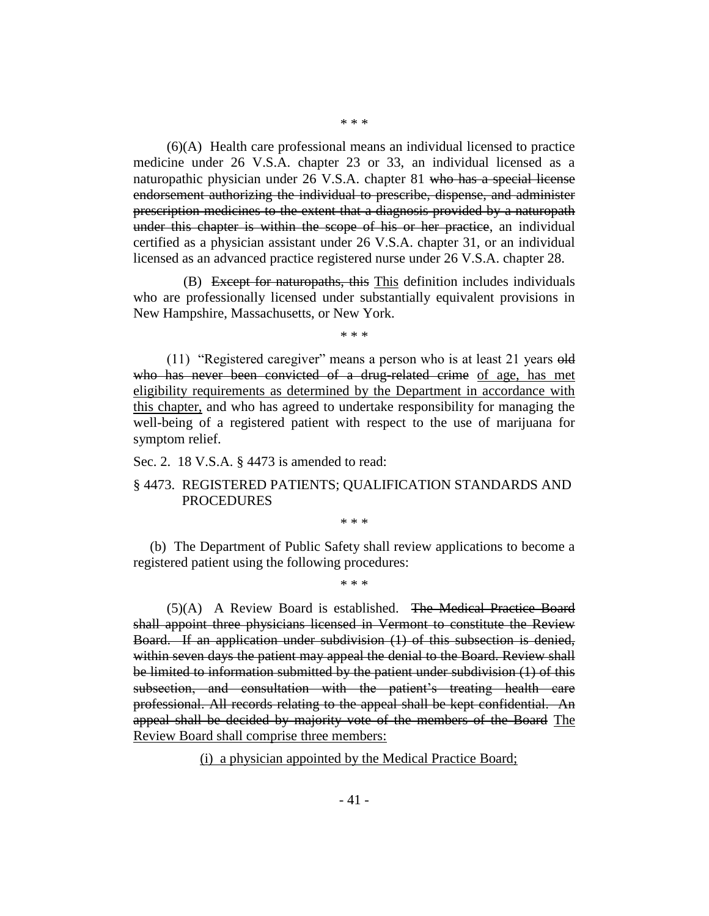(6)(A) Health care professional means an individual licensed to practice medicine under 26 V.S.A. chapter 23 or 33, an individual licensed as a naturopathic physician under 26 V.S.A. chapter 81 who has a special license endorsement authorizing the individual to prescribe, dispense, and administer prescription medicines to the extent that a diagnosis provided by a naturopath under this chapter is within the scope of his or her practice, an individual certified as a physician assistant under 26 V.S.A. chapter 31, or an individual licensed as an advanced practice registered nurse under 26 V.S.A. chapter 28.

(B) Except for naturopaths, this This definition includes individuals who are professionally licensed under substantially equivalent provisions in New Hampshire, Massachusetts, or New York.

\* \* \*

(11) "Registered caregiver" means a person who is at least 21 years  $\Theta$ ld who has never been convicted of a drug-related crime of age, has met eligibility requirements as determined by the Department in accordance with this chapter, and who has agreed to undertake responsibility for managing the well-being of a registered patient with respect to the use of marijuana for symptom relief.

Sec. 2. 18 V.S.A. § 4473 is amended to read:

## § 4473. REGISTERED PATIENTS; QUALIFICATION STANDARDS AND PROCEDURES

\* \* \*

(b) The Department of Public Safety shall review applications to become a registered patient using the following procedures:

\* \* \*

(5)(A) A Review Board is established. The Medical Practice Board shall appoint three physicians licensed in Vermont to constitute the Review Board. If an application under subdivision (1) of this subsection is denied, within seven days the patient may appeal the denial to the Board. Review shall be limited to information submitted by the patient under subdivision (1) of this subsection, and consultation with the patient's treating health care professional. All records relating to the appeal shall be kept confidential. An appeal shall be decided by majority vote of the members of the Board The Review Board shall comprise three members:

(i) a physician appointed by the Medical Practice Board;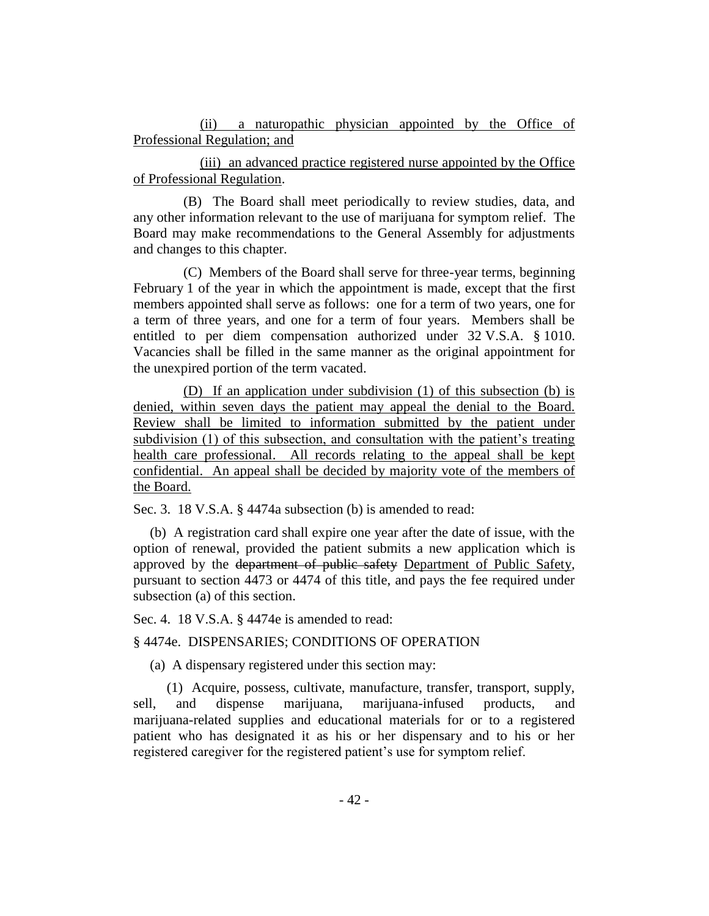(ii) a naturopathic physician appointed by the Office of Professional Regulation; and

(iii) an advanced practice registered nurse appointed by the Office of Professional Regulation.

(B) The Board shall meet periodically to review studies, data, and any other information relevant to the use of marijuana for symptom relief. The Board may make recommendations to the General Assembly for adjustments and changes to this chapter.

(C) Members of the Board shall serve for three-year terms, beginning February 1 of the year in which the appointment is made, except that the first members appointed shall serve as follows: one for a term of two years, one for a term of three years, and one for a term of four years. Members shall be entitled to per diem compensation authorized under 32 V.S.A. § 1010. Vacancies shall be filled in the same manner as the original appointment for the unexpired portion of the term vacated.

(D) If an application under subdivision (1) of this subsection (b) is denied, within seven days the patient may appeal the denial to the Board. Review shall be limited to information submitted by the patient under subdivision (1) of this subsection, and consultation with the patient's treating health care professional. All records relating to the appeal shall be kept confidential. An appeal shall be decided by majority vote of the members of the Board.

Sec. 3. 18 V.S.A. § 4474a subsection (b) is amended to read:

(b) A registration card shall expire one year after the date of issue, with the option of renewal, provided the patient submits a new application which is approved by the department of public safety Department of Public Safety, pursuant to section 4473 or 4474 of this title, and pays the fee required under subsection (a) of this section.

Sec. 4. 18 V.S.A. § 4474e is amended to read:

§ 4474e. DISPENSARIES; CONDITIONS OF OPERATION

(a) A dispensary registered under this section may:

(1) Acquire, possess, cultivate, manufacture, transfer, transport, supply, sell, and dispense marijuana, marijuana-infused products, and marijuana-related supplies and educational materials for or to a registered patient who has designated it as his or her dispensary and to his or her registered caregiver for the registered patient's use for symptom relief.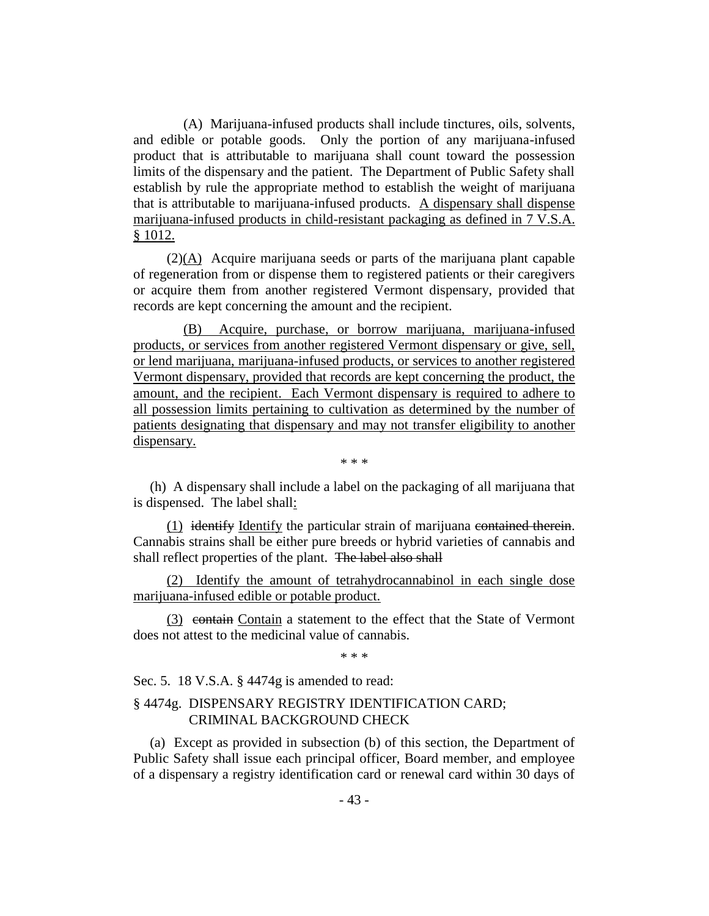(A) Marijuana-infused products shall include tinctures, oils, solvents, and edible or potable goods. Only the portion of any marijuana-infused product that is attributable to marijuana shall count toward the possession limits of the dispensary and the patient. The Department of Public Safety shall establish by rule the appropriate method to establish the weight of marijuana that is attributable to marijuana-infused products. A dispensary shall dispense marijuana-infused products in child-resistant packaging as defined in 7 V.S.A. § 1012.

(2)(A) Acquire marijuana seeds or parts of the marijuana plant capable of regeneration from or dispense them to registered patients or their caregivers or acquire them from another registered Vermont dispensary, provided that records are kept concerning the amount and the recipient.

(B) Acquire, purchase, or borrow marijuana, marijuana-infused products, or services from another registered Vermont dispensary or give, sell, or lend marijuana, marijuana-infused products, or services to another registered Vermont dispensary, provided that records are kept concerning the product, the amount, and the recipient. Each Vermont dispensary is required to adhere to all possession limits pertaining to cultivation as determined by the number of patients designating that dispensary and may not transfer eligibility to another dispensary.

\* \* \*

(h) A dispensary shall include a label on the packaging of all marijuana that is dispensed. The label shall:

(1) identify Identify the particular strain of marijuana contained therein. Cannabis strains shall be either pure breeds or hybrid varieties of cannabis and shall reflect properties of the plant. The label also shall

(2) Identify the amount of tetrahydrocannabinol in each single dose marijuana-infused edible or potable product.

(3) contain Contain a statement to the effect that the State of Vermont does not attest to the medicinal value of cannabis.

\* \* \*

Sec. 5. 18 V.S.A. § 4474g is amended to read:

## § 4474g. DISPENSARY REGISTRY IDENTIFICATION CARD; CRIMINAL BACKGROUND CHECK

(a) Except as provided in subsection (b) of this section, the Department of Public Safety shall issue each principal officer, Board member, and employee of a dispensary a registry identification card or renewal card within 30 days of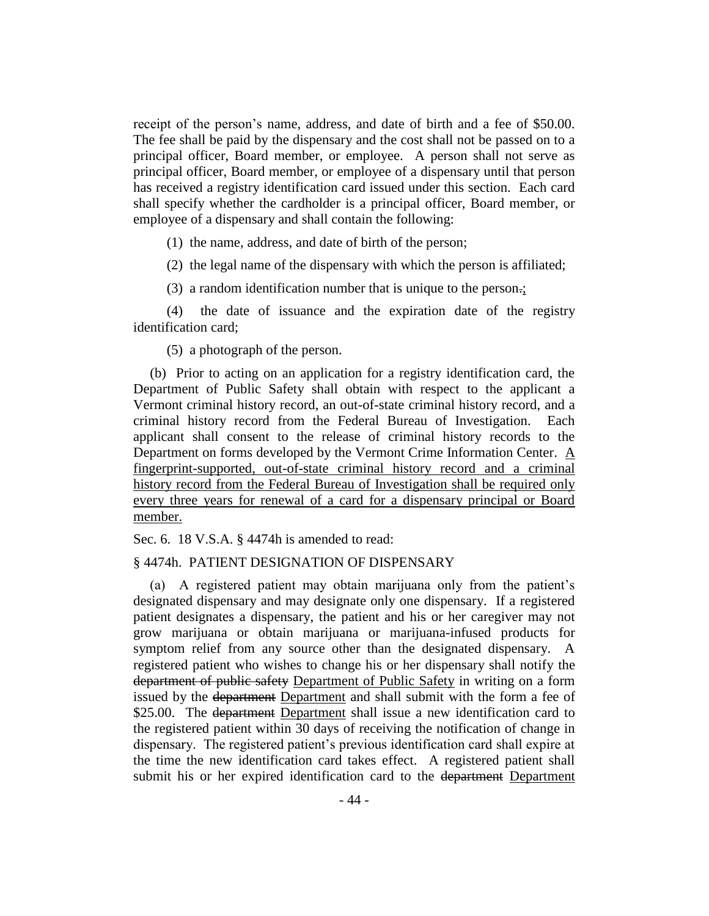receipt of the person's name, address, and date of birth and a fee of \$50.00. The fee shall be paid by the dispensary and the cost shall not be passed on to a principal officer, Board member, or employee. A person shall not serve as principal officer, Board member, or employee of a dispensary until that person has received a registry identification card issued under this section. Each card shall specify whether the cardholder is a principal officer, Board member, or employee of a dispensary and shall contain the following:

(1) the name, address, and date of birth of the person;

(2) the legal name of the dispensary with which the person is affiliated;

(3) a random identification number that is unique to the person.;

(4) the date of issuance and the expiration date of the registry identification card;

(5) a photograph of the person.

(b) Prior to acting on an application for a registry identification card, the Department of Public Safety shall obtain with respect to the applicant a Vermont criminal history record, an out-of-state criminal history record, and a criminal history record from the Federal Bureau of Investigation. Each applicant shall consent to the release of criminal history records to the Department on forms developed by the Vermont Crime Information Center. A fingerprint-supported, out-of-state criminal history record and a criminal history record from the Federal Bureau of Investigation shall be required only every three years for renewal of a card for a dispensary principal or Board member.

Sec. 6. 18 V.S.A. § 4474h is amended to read:

#### § 4474h. PATIENT DESIGNATION OF DISPENSARY

(a) A registered patient may obtain marijuana only from the patient's designated dispensary and may designate only one dispensary. If a registered patient designates a dispensary, the patient and his or her caregiver may not grow marijuana or obtain marijuana or marijuana-infused products for symptom relief from any source other than the designated dispensary. A registered patient who wishes to change his or her dispensary shall notify the department of public safety Department of Public Safety in writing on a form issued by the department Department and shall submit with the form a fee of \$25.00. The <del>department</del> Department shall issue a new identification card to the registered patient within 30 days of receiving the notification of change in dispensary. The registered patient's previous identification card shall expire at the time the new identification card takes effect. A registered patient shall submit his or her expired identification card to the department Department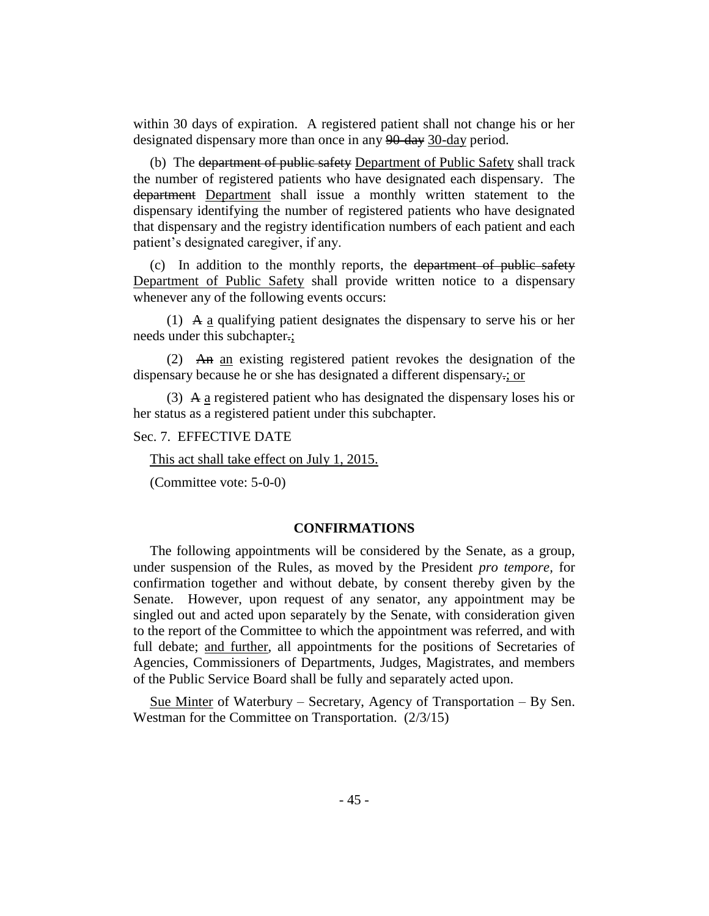within 30 days of expiration. A registered patient shall not change his or her designated dispensary more than once in any 90-day 30-day period.

(b) The department of public safety Department of Public Safety shall track the number of registered patients who have designated each dispensary. The department Department shall issue a monthly written statement to the dispensary identifying the number of registered patients who have designated that dispensary and the registry identification numbers of each patient and each patient's designated caregiver, if any.

(c) In addition to the monthly reports, the department of public safety Department of Public Safety shall provide written notice to a dispensary whenever any of the following events occurs:

(1) A a qualifying patient designates the dispensary to serve his or her needs under this subchapter.;

(2) An an existing registered patient revokes the designation of the dispensary because he or she has designated a different dispensary-; or

(3) A a registered patient who has designated the dispensary loses his or her status as a registered patient under this subchapter.

Sec. 7. EFFECTIVE DATE

This act shall take effect on July 1, 2015.

(Committee vote: 5-0-0)

#### **CONFIRMATIONS**

The following appointments will be considered by the Senate, as a group, under suspension of the Rules, as moved by the President *pro tempore,* for confirmation together and without debate, by consent thereby given by the Senate. However, upon request of any senator, any appointment may be singled out and acted upon separately by the Senate, with consideration given to the report of the Committee to which the appointment was referred, and with full debate; and further, all appointments for the positions of Secretaries of Agencies, Commissioners of Departments, Judges, Magistrates, and members of the Public Service Board shall be fully and separately acted upon.

Sue Minter of Waterbury – Secretary, Agency of Transportation – By Sen. Westman for the Committee on Transportation. (2/3/15)